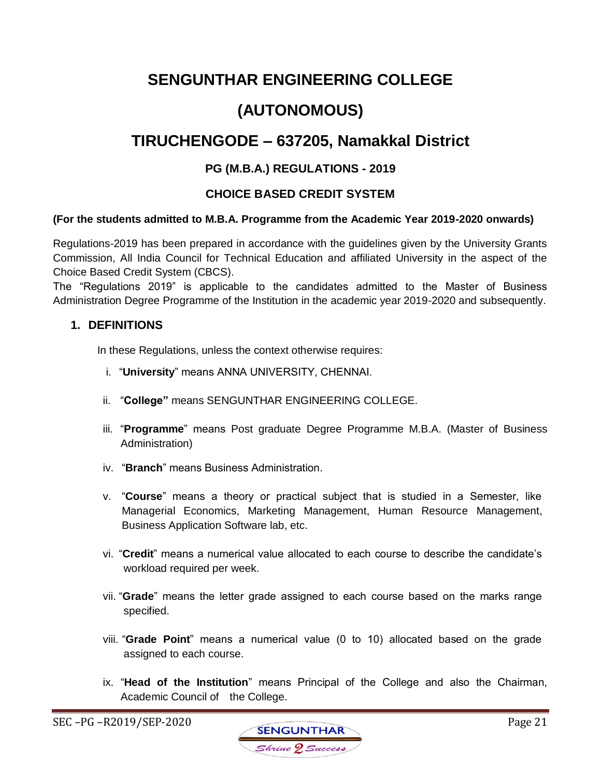# **SENGUNTHAR ENGINEERING COLLEGE**

# **(AUTONOMOUS)**

# **TIRUCHENGODE – 637205, Namakkal District**

# **PG (M.B.A.) REGULATIONS - 2019**

# **CHOICE BASED CREDIT SYSTEM**

### **(For the students admitted to M.B.A. Programme from the Academic Year 2019-2020 onwards)**

Regulations-2019 has been prepared in accordance with the guidelines given by the University Grants Commission, All India Council for Technical Education and affiliated University in the aspect of the Choice Based Credit System (CBCS).

The "Regulations 2019" is applicable to the candidates admitted to the Master of Business Administration Degree Programme of the Institution in the academic year 2019-2020 and subsequently.

### **1. DEFINITIONS**

In these Regulations, unless the context otherwise requires:

- i. "**University**" means ANNA UNIVERSITY, CHENNAI.
- ii. "**College"** means SENGUNTHAR ENGINEERING COLLEGE.
- iii. "**Programme**" means Post graduate Degree Programme M.B.A. (Master of Business Administration)
- iv. "**Branch**" means Business Administration.
- v. "**Course**" means a theory or practical subject that is studied in a Semester, like Managerial Economics, Marketing Management, Human Resource Management, Business Application Software lab, etc.
- vi. "**Credit**" means a numerical value allocated to each course to describe the candidate's workload required per week.
- vii. "**Grade**" means the letter grade assigned to each course based on the marks range specified.
- viii. "**Grade Point**" means a numerical value (0 to 10) allocated based on the grade assigned to each course.
- ix. "**Head of the Institution**" means Principal of the College and also the Chairman, Academic Council of the College.

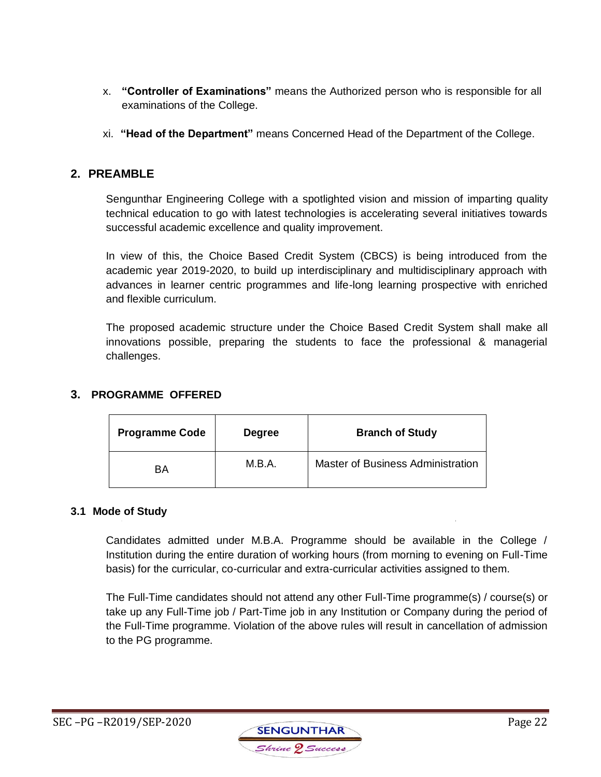- x. **"Controller of Examinations"** means the Authorized person who is responsible for all examinations of the College.
- xi. **"Head of the Department"** means Concerned Head of the Department of the College.

# **2. PREAMBLE**

Sengunthar Engineering College with a spotlighted vision and mission of imparting quality technical education to go with latest technologies is accelerating several initiatives towards successful academic excellence and quality improvement.

In view of this, the Choice Based Credit System (CBCS) is being introduced from the academic year 2019-2020, to build up interdisciplinary and multidisciplinary approach with advances in learner centric programmes and life-long learning prospective with enriched and flexible curriculum.

The proposed academic structure under the Choice Based Credit System shall make all innovations possible, preparing the students to face the professional & managerial challenges.

## **3. PROGRAMME OFFERED**

| <b>Programme Code</b> | <b>Degree</b> | <b>Branch of Study</b>                   |
|-----------------------|---------------|------------------------------------------|
| <b>BA</b>             | M.B.A.        | <b>Master of Business Administration</b> |

#### **3.1 Mode of Study**

Candidates admitted under M.B.A. Programme should be available in the College / Institution during the entire duration of working hours (from morning to evening on Full-Time basis) for the curricular, co-curricular and extra-curricular activities assigned to them.

The Full-Time candidates should not attend any other Full-Time programme(s) / course(s) or take up any Full-Time job / Part-Time job in any Institution or Company during the period of the Full-Time programme. Violation of the above rules will result in cancellation of admission to the PG programme.

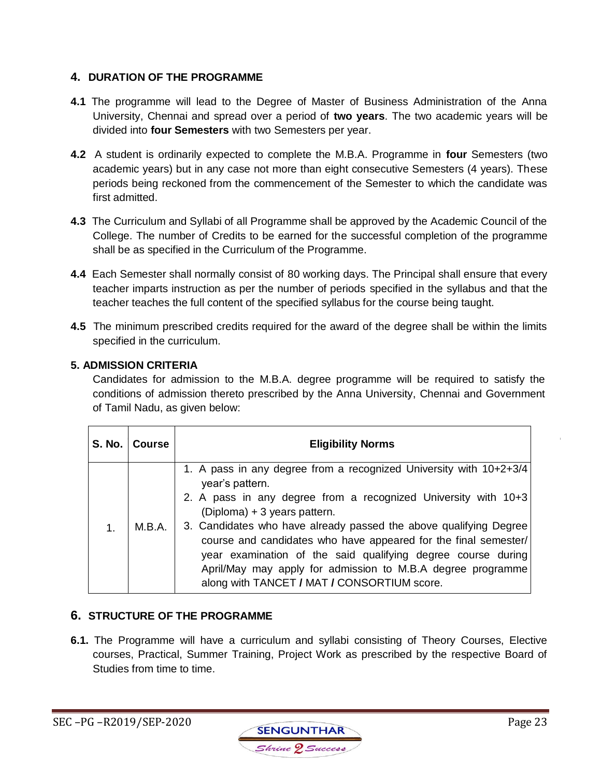# **4. DURATION OF THE PROGRAMME**

- **4.1** The programme will lead to the Degree of Master of Business Administration of the Anna University, Chennai and spread over a period of **two years**. The two academic years will be divided into **four Semesters** with two Semesters per year.
- **4.2** A student is ordinarily expected to complete the M.B.A. Programme in **four** Semesters (two academic years) but in any case not more than eight consecutive Semesters (4 years). These periods being reckoned from the commencement of the Semester to which the candidate was first admitted.
- **4.3** The Curriculum and Syllabi of all Programme shall be approved by the Academic Council of the College. The number of Credits to be earned for the successful completion of the programme shall be as specified in the Curriculum of the Programme.
- **4.4** Each Semester shall normally consist of 80 working days. The Principal shall ensure that every teacher imparts instruction as per the number of periods specified in the syllabus and that the teacher teaches the full content of the specified syllabus for the course being taught.
- **4.5** The minimum prescribed credits required for the award of the degree shall be within the limits specified in the curriculum.

# **5. ADMISSION CRITERIA**

Candidates for admission to the M.B.A. degree programme will be required to satisfy the conditions of admission thereto prescribed by the Anna University, Chennai and Government of Tamil Nadu, as given below:

|    | S. No.   Course | <b>Eligibility Norms</b>                                                                                                                                                                                                                                                                                                                                                                                                                                                                                      |
|----|-----------------|---------------------------------------------------------------------------------------------------------------------------------------------------------------------------------------------------------------------------------------------------------------------------------------------------------------------------------------------------------------------------------------------------------------------------------------------------------------------------------------------------------------|
| 1. | M.B.A.          | 1. A pass in any degree from a recognized University with 10+2+3/4<br>year's pattern.<br>2. A pass in any degree from a recognized University with 10+3<br>(Diploma) + 3 years pattern.<br>3. Candidates who have already passed the above qualifying Degree<br>course and candidates who have appeared for the final semester/<br>year examination of the said qualifying degree course during<br>April/May may apply for admission to M.B.A degree programme<br>along with TANCET / MAT / CONSORTIUM score. |

# **6. STRUCTURE OF THE PROGRAMME**

**6.1.** The Programme will have a curriculum and syllabi consisting of Theory Courses, Elective courses, Practical, Summer Training, Project Work as prescribed by the respective Board of Studies from time to time.

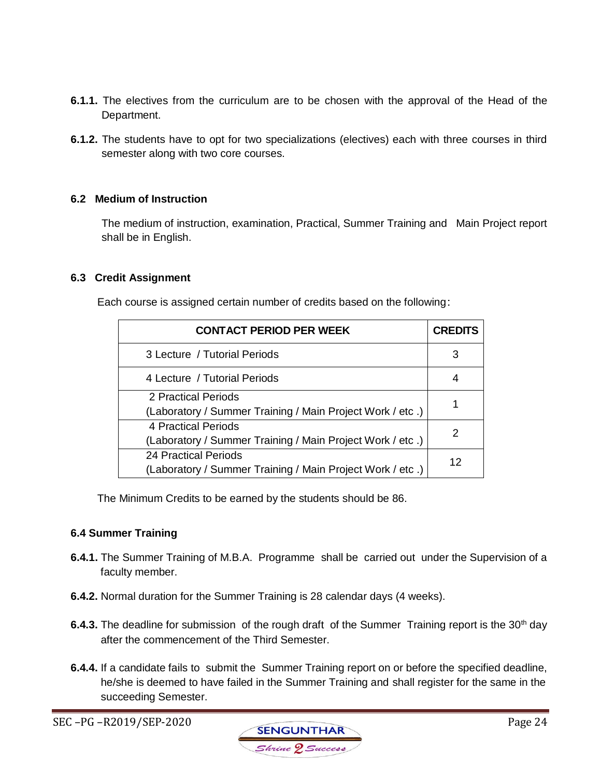- **6.1.1.** The electives from the curriculum are to be chosen with the approval of the Head of the Department.
- **6.1.2.** The students have to opt for two specializations (electives) each with three courses in third semester along with two core courses.

### **6.2 Medium of Instruction**

The medium of instruction, examination, Practical, Summer Training and Main Project report shall be in English.

#### **6.3 Credit Assignment**

Each course is assigned certain number of credits based on the following:

| <b>CONTACT PERIOD PER WEEK</b>                            | <b>CREDITS</b> |
|-----------------------------------------------------------|----------------|
| 3 Lecture / Tutorial Periods                              | 3              |
| 4 Lecture / Tutorial Periods                              | 4              |
| 2 Practical Periods                                       |                |
| (Laboratory / Summer Training / Main Project Work / etc.) |                |
| 4 Practical Periods                                       | 2              |
| (Laboratory / Summer Training / Main Project Work / etc.) |                |
| <b>24 Practical Periods</b>                               | 12             |
| (Laboratory / Summer Training / Main Project Work / etc.) |                |

The Minimum Credits to be earned by the students should be 86.

#### **6.4 Summer Training**

- **6.4.1.** The Summer Training of M.B.A. Programme shall be carried out under the Supervision of a faculty member.
- **6.4.2.** Normal duration for the Summer Training is 28 calendar days (4 weeks).
- **6.4.3.** The deadline for submission of the rough draft of the Summer Training report is the 30<sup>th</sup> day after the commencement of the Third Semester.
- **6.4.4.** If a candidate fails to submit the Summer Training report on or before the specified deadline, he/she is deemed to have failed in the Summer Training and shall register for the same in the succeeding Semester.

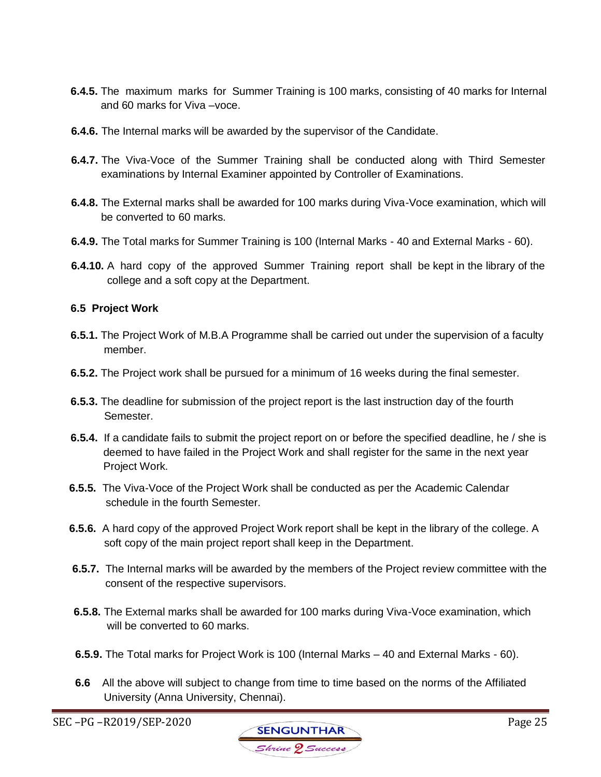- **6.4.5.** The maximum marks for Summer Training is 100 marks, consisting of 40 marks for Internal and 60 marks for Viva –voce.
- **6.4.6.** The Internal marks will be awarded by the supervisor of the Candidate.
- **6.4.7.** The Viva-Voce of the Summer Training shall be conducted along with Third Semester examinations by Internal Examiner appointed by Controller of Examinations.
- **6.4.8.** The External marks shall be awarded for 100 marks during Viva-Voce examination, which will be converted to 60 marks.
- **6.4.9.** The Total marks for Summer Training is 100 (Internal Marks 40 and External Marks 60).
- **6.4.10.** A hard copy of the approved Summer Training report shall be kept in the library of the college and a soft copy at the Department.

### **6.5 Project Work**

- **6.5.1.** The Project Work of M.B.A Programme shall be carried out under the supervision of a faculty member.
- **6.5.2.** The Project work shall be pursued for a minimum of 16 weeks during the final semester.
- **6.5.3.** The deadline for submission of the project report is the last instruction day of the fourth Semester.
- **6.5.4.** If a candidate fails to submit the project report on or before the specified deadline, he / she is deemed to have failed in the Project Work and shall register for the same in the next year Project Work.
- **6.5.5.** The Viva-Voce of the Project Work shall be conducted as per the Academic Calendar schedule in the fourth Semester.
- **6.5.6.** A hard copy of the approved Project Work report shall be kept in the library of the college. A soft copy of the main project report shall keep in the Department.
- **6.5.7.** The Internal marks will be awarded by the members of the Project review committee with the consent of the respective supervisors.
- **6.5.8.** The External marks shall be awarded for 100 marks during Viva-Voce examination, which will be converted to 60 marks.
- **6.5.9.** The Total marks for Project Work is 100 (Internal Marks 40 and External Marks 60).
- **6.6** All the above will subject to change from time to time based on the norms of the Affiliated University (Anna University, Chennai).

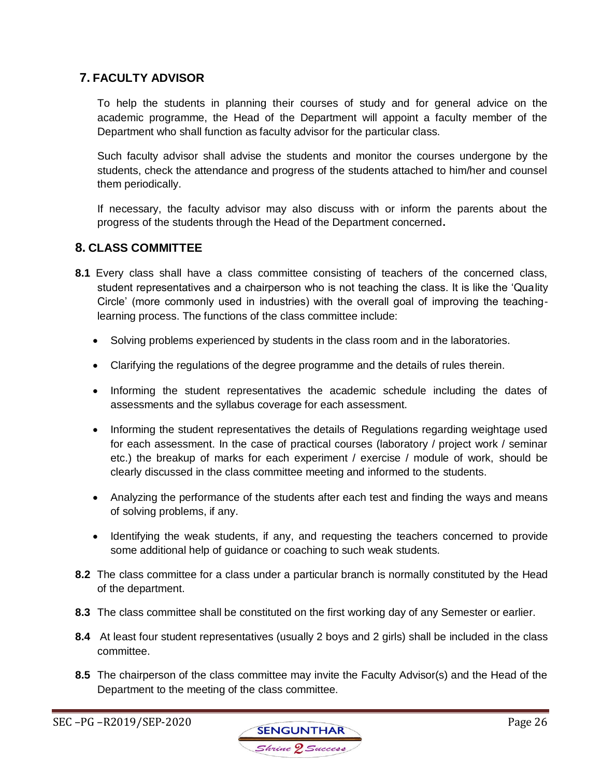# **7. FACULTY ADVISOR**

To help the students in planning their courses of study and for general advice on the academic programme, the Head of the Department will appoint a faculty member of the Department who shall function as faculty advisor for the particular class.

Such faculty advisor shall advise the students and monitor the courses undergone by the students, check the attendance and progress of the students attached to him/her and counsel them periodically.

If necessary, the faculty advisor may also discuss with or inform the parents about the progress of the students through the Head of the Department concerned**.**

# **8. CLASS COMMITTEE**

- **8.1** Every class shall have a class committee consisting of teachers of the concerned class, student representatives and a chairperson who is not teaching the class. It is like the 'Quality Circle' (more commonly used in industries) with the overall goal of improving the teachinglearning process. The functions of the class committee include:
	- Solving problems experienced by students in the class room and in the laboratories.
	- Clarifying the regulations of the degree programme and the details of rules therein.
	- Informing the student representatives the academic schedule including the dates of assessments and the syllabus coverage for each assessment.
	- Informing the student representatives the details of Regulations regarding weightage used for each assessment. In the case of practical courses (laboratory / project work / seminar etc.) the breakup of marks for each experiment / exercise / module of work, should be clearly discussed in the class committee meeting and informed to the students.
	- Analyzing the performance of the students after each test and finding the ways and means of solving problems, if any.
	- Identifying the weak students, if any, and requesting the teachers concerned to provide some additional help of guidance or coaching to such weak students.
- **8.2** The class committee for a class under a particular branch is normally constituted by the Head of the department.
- **8.3** The class committee shall be constituted on the first working day of any Semester or earlier.
- **8.4** At least four student representatives (usually 2 boys and 2 girls) shall be included in the class committee.
- **8.5** The chairperson of the class committee may invite the Faculty Advisor(s) and the Head of the Department to the meeting of the class committee.

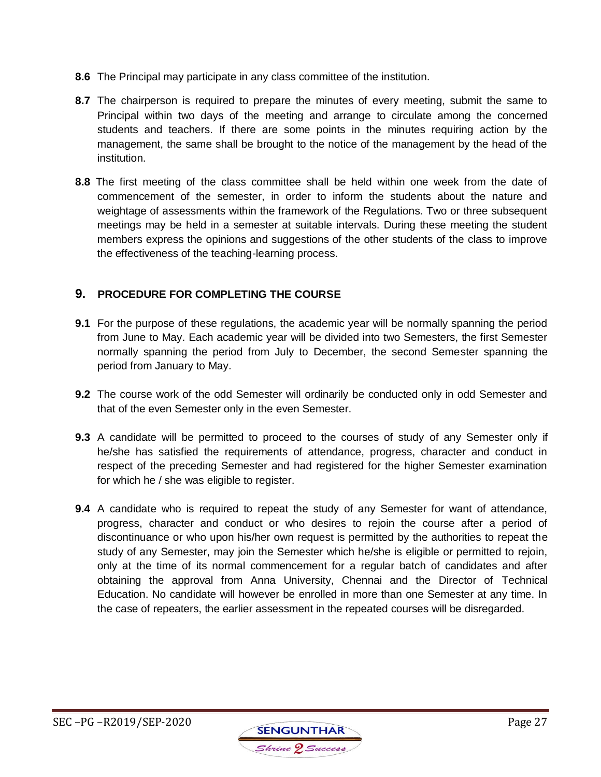- **8.6** The Principal may participate in any class committee of the institution.
- **8.7** The chairperson is required to prepare the minutes of every meeting, submit the same to Principal within two days of the meeting and arrange to circulate among the concerned students and teachers. If there are some points in the minutes requiring action by the management, the same shall be brought to the notice of the management by the head of the institution.
- **8.8** The first meeting of the class committee shall be held within one week from the date of commencement of the semester, in order to inform the students about the nature and weightage of assessments within the framework of the Regulations. Two or three subsequent meetings may be held in a semester at suitable intervals. During these meeting the student members express the opinions and suggestions of the other students of the class to improve the effectiveness of the teaching-learning process.

# **9. PROCEDURE FOR COMPLETING THE COURSE**

- **9.1** For the purpose of these regulations, the academic year will be normally spanning the period from June to May. Each academic year will be divided into two Semesters, the first Semester normally spanning the period from July to December, the second Semester spanning the period from January to May.
- **9.2** The course work of the odd Semester will ordinarily be conducted only in odd Semester and that of the even Semester only in the even Semester.
- **9.3** A candidate will be permitted to proceed to the courses of study of any Semester only if he/she has satisfied the requirements of attendance, progress, character and conduct in respect of the preceding Semester and had registered for the higher Semester examination for which he / she was eligible to register.
- **9.4** A candidate who is required to repeat the study of any Semester for want of attendance, progress, character and conduct or who desires to rejoin the course after a period of discontinuance or who upon his/her own request is permitted by the authorities to repeat the study of any Semester, may join the Semester which he/she is eligible or permitted to rejoin, only at the time of its normal commencement for a regular batch of candidates and after obtaining the approval from Anna University, Chennai and the Director of Technical Education. No candidate will however be enrolled in more than one Semester at any time. In the case of repeaters, the earlier assessment in the repeated courses will be disregarded.

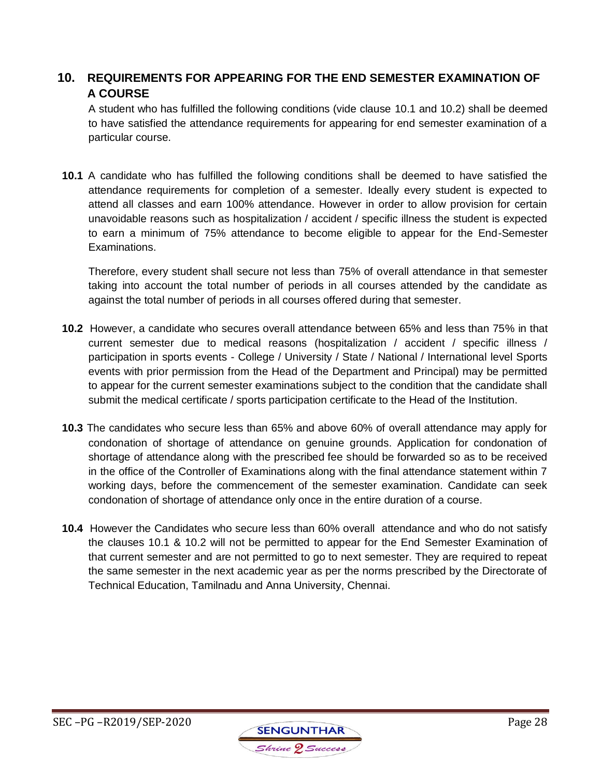# **10. REQUIREMENTS FOR APPEARING FOR THE END SEMESTER EXAMINATION OF A COURSE**

A student who has fulfilled the following conditions (vide clause 10.1 and 10.2) shall be deemed to have satisfied the attendance requirements for appearing for end semester examination of a particular course.

**10.1** A candidate who has fulfilled the following conditions shall be deemed to have satisfied the attendance requirements for completion of a semester. Ideally every student is expected to attend all classes and earn 100% attendance. However in order to allow provision for certain unavoidable reasons such as hospitalization / accident / specific illness the student is expected to earn a minimum of 75% attendance to become eligible to appear for the End-Semester Examinations.

Therefore, every student shall secure not less than 75% of overall attendance in that semester taking into account the total number of periods in all courses attended by the candidate as against the total number of periods in all courses offered during that semester.

- **10.2** However, a candidate who secures overall attendance between 65% and less than 75% in that current semester due to medical reasons (hospitalization / accident / specific illness / participation in sports events - College / University / State / National / International level Sports events with prior permission from the Head of the Department and Principal) may be permitted to appear for the current semester examinations subject to the condition that the candidate shall submit the medical certificate / sports participation certificate to the Head of the Institution.
- **10.3** The candidates who secure less than 65% and above 60% of overall attendance may apply for condonation of shortage of attendance on genuine grounds. Application for condonation of shortage of attendance along with the prescribed fee should be forwarded so as to be received in the office of the Controller of Examinations along with the final attendance statement within 7 working days, before the commencement of the semester examination. Candidate can seek condonation of shortage of attendance only once in the entire duration of a course.
- **10.4** However the Candidates who secure less than 60% overall attendance and who do not satisfy the clauses 10.1 & 10.2 will not be permitted to appear for the End Semester Examination of that current semester and are not permitted to go to next semester. They are required to repeat the same semester in the next academic year as per the norms prescribed by the Directorate of Technical Education, Tamilnadu and Anna University, Chennai.

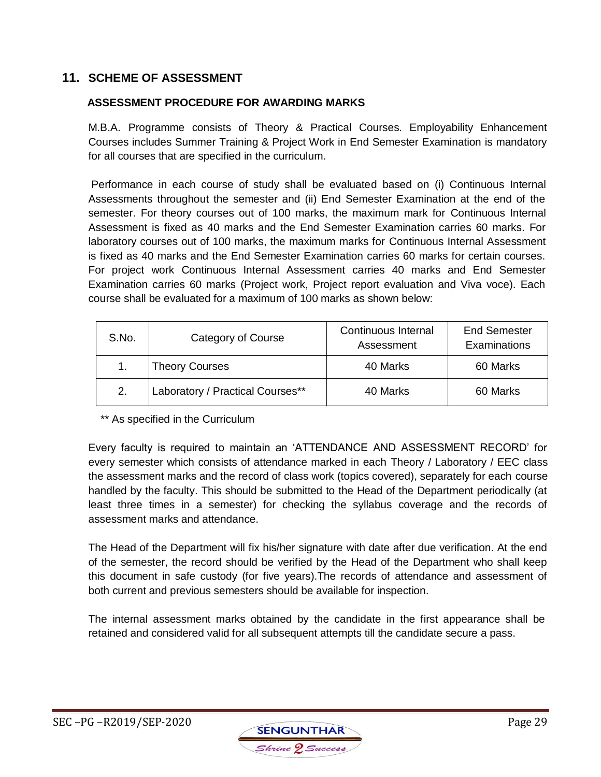# **11. SCHEME OF ASSESSMENT**

### **ASSESSMENT PROCEDURE FOR AWARDING MARKS**

M.B.A. Programme consists of Theory & Practical Courses. Employability Enhancement Courses includes Summer Training & Project Work in End Semester Examination is mandatory for all courses that are specified in the curriculum.

Performance in each course of study shall be evaluated based on (i) Continuous Internal Assessments throughout the semester and (ii) End Semester Examination at the end of the semester. For theory courses out of 100 marks, the maximum mark for Continuous Internal Assessment is fixed as 40 marks and the End Semester Examination carries 60 marks. For laboratory courses out of 100 marks, the maximum marks for Continuous Internal Assessment is fixed as 40 marks and the End Semester Examination carries 60 marks for certain courses. For project work Continuous Internal Assessment carries 40 marks and End Semester Examination carries 60 marks (Project work, Project report evaluation and Viva voce). Each course shall be evaluated for a maximum of 100 marks as shown below:

| S.No. | Category of Course               | Continuous Internal<br>Assessment | <b>End Semester</b><br>Examinations |
|-------|----------------------------------|-----------------------------------|-------------------------------------|
|       | <b>Theory Courses</b>            | 40 Marks                          | 60 Marks                            |
| 2.    | Laboratory / Practical Courses** | 40 Marks                          | 60 Marks                            |

\*\* As specified in the Curriculum

Every faculty is required to maintain an 'ATTENDANCE AND ASSESSMENT RECORD' for every semester which consists of attendance marked in each Theory / Laboratory / EEC class the assessment marks and the record of class work (topics covered), separately for each course handled by the faculty. This should be submitted to the Head of the Department periodically (at least three times in a semester) for checking the syllabus coverage and the records of assessment marks and attendance.

The Head of the Department will fix his/her signature with date after due verification. At the end of the semester, the record should be verified by the Head of the Department who shall keep this document in safe custody (for five years).The records of attendance and assessment of both current and previous semesters should be available for inspection.

The internal assessment marks obtained by the candidate in the first appearance shall be retained and considered valid for all subsequent attempts till the candidate secure a pass.

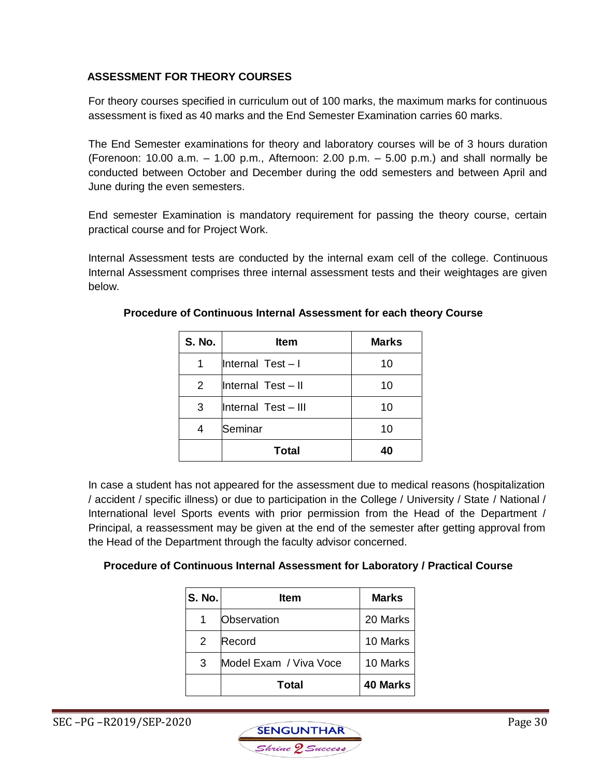# **ASSESSMENT FOR THEORY COURSES**

For theory courses specified in curriculum out of 100 marks, the maximum marks for continuous assessment is fixed as 40 marks and the End Semester Examination carries 60 marks.

The End Semester examinations for theory and laboratory courses will be of 3 hours duration (Forenoon: 10.00 a.m.  $-$  1.00 p.m., Afternoon: 2.00 p.m.  $-$  5.00 p.m.) and shall normally be conducted between October and December during the odd semesters and between April and June during the even semesters.

End semester Examination is mandatory requirement for passing the theory course, certain practical course and for Project Work.

Internal Assessment tests are conducted by the internal exam cell of the college. Continuous Internal Assessment comprises three internal assessment tests and their weightages are given below.

| <b>S. No.</b> | Item                | <b>Marks</b> |
|---------------|---------------------|--------------|
|               | Internal Test-I     | 10           |
| 2             | Internal Test-II    | 10           |
| 3             | Internal Test - III | 10           |
|               | Seminar             | 10           |
|               | Total               | 40           |

# **Procedure of Continuous Internal Assessment for each theory Course**

In case a student has not appeared for the assessment due to medical reasons (hospitalization / accident / specific illness) or due to participation in the College / University / State / National / International level Sports events with prior permission from the Head of the Department / Principal, a reassessment may be given at the end of the semester after getting approval from the Head of the Department through the faculty advisor concerned.

# **Procedure of Continuous Internal Assessment for Laboratory / Practical Course**

| <b>S. No.</b> | ltem                   | <b>Marks</b>    |
|---------------|------------------------|-----------------|
|               | Observation            | 20 Marks        |
| 2             | Record                 | 10 Marks        |
| 3             | Model Exam / Viva Voce | 10 Marks        |
|               | <b>Total</b>           | <b>40 Marks</b> |

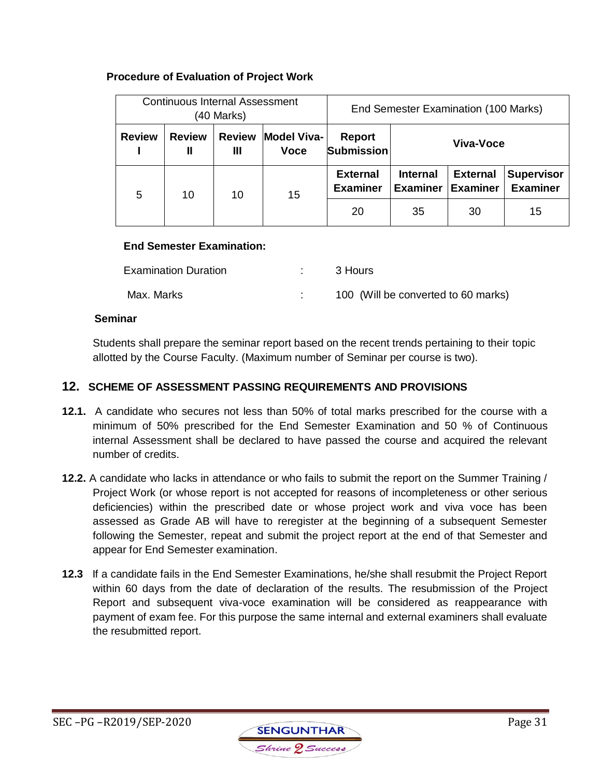# **Procedure of Evaluation of Project Work**

| Continuous Internal Assessment<br>(40 Marks) |                    | End Semester Examination (100 Marks) |                                   |                                    |                                    |                                    |                                      |
|----------------------------------------------|--------------------|--------------------------------------|-----------------------------------|------------------------------------|------------------------------------|------------------------------------|--------------------------------------|
| <b>Review</b>                                | <b>Review</b><br>Ш | <b>Review</b><br>Ш                   | <b>Model Viva-</b><br><b>Voce</b> | Report<br><b>Submission</b>        | Viva-Voce                          |                                    |                                      |
| 5                                            | 10                 | 10                                   | 15                                | <b>External</b><br><b>Examiner</b> | <b>Internal</b><br><b>Examiner</b> | <b>External</b><br><b>Examiner</b> | <b>Supervisor</b><br><b>Examiner</b> |
|                                              |                    |                                      |                                   | 20                                 | 35                                 | 30                                 | 15                                   |

### **End Semester Examination:**

| <b>Examination Duration</b> | 3 Hours                             |
|-----------------------------|-------------------------------------|
| Max. Marks                  | 100 (Will be converted to 60 marks) |

### **Seminar**

Students shall prepare the seminar report based on the recent trends pertaining to their topic allotted by the Course Faculty. (Maximum number of Seminar per course is two).

### **12. SCHEME OF ASSESSMENT PASSING REQUIREMENTS AND PROVISIONS**

- **12.1.** A candidate who secures not less than 50% of total marks prescribed for the course with a minimum of 50% prescribed for the End Semester Examination and 50 % of Continuous internal Assessment shall be declared to have passed the course and acquired the relevant number of credits.
- **12.2.** A candidate who lacks in attendance or who fails to submit the report on the Summer Training / Project Work (or whose report is not accepted for reasons of incompleteness or other serious deficiencies) within the prescribed date or whose project work and viva voce has been assessed as Grade AB will have to reregister at the beginning of a subsequent Semester following the Semester, repeat and submit the project report at the end of that Semester and appear for End Semester examination.
- **12.3** If a candidate fails in the End Semester Examinations, he/she shall resubmit the Project Report within 60 days from the date of declaration of the results. The resubmission of the Project Report and subsequent viva-voce examination will be considered as reappearance with payment of exam fee. For this purpose the same internal and external examiners shall evaluate the resubmitted report.

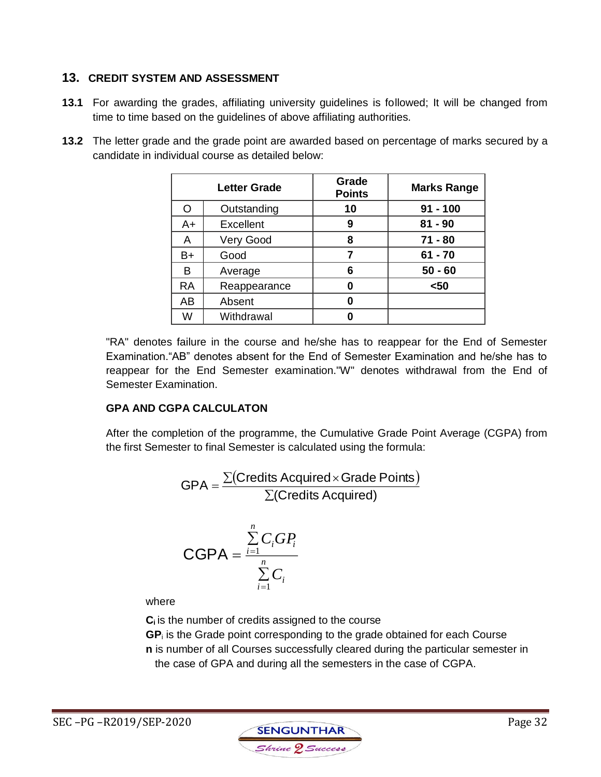# **13. CREDIT SYSTEM AND ASSESSMENT**

- **13.1** For awarding the grades, affiliating university guidelines is followed; It will be changed from time to time based on the guidelines of above affiliating authorities.
- **13.2** The letter grade and the grade point are awarded based on percentage of marks secured by a candidate in individual course as detailed below:

|           | <b>Letter Grade</b> | Grade<br><b>Points</b> |            |
|-----------|---------------------|------------------------|------------|
| O         | Outstanding         | 10                     | $91 - 100$ |
| $A+$      | Excellent           | 9                      | $81 - 90$  |
| A         | Very Good           | 8                      | $71 - 80$  |
| B+        | Good                |                        | $61 - 70$  |
| B         | Average             | 6                      | $50 - 60$  |
| <b>RA</b> | Reappearance        |                        | $50$       |
| AB        | Absent              | በ                      |            |
| W         | Withdrawal          |                        |            |

"RA" denotes failure in the course and he/she has to reappear for the End of Semester Examination."AB" denotes absent for the End of Semester Examination and he/she has to reappear for the End Semester examination."W" denotes withdrawal from the End of Semester Examination.

# **GPA AND CGPA CALCULATON**

After the completion of the programme, the Cumulative Grade Point Average (CGPA) from the first Semester to final Semester is calculated using the formula:

$$
GPA = \frac{\sum (Credictic Acquired \times Grade Points)}{\sum (Credictic Acquired)}
$$

$$
\text{CGPA} = \frac{\sum\limits_{i=1}^{n} C_i G P_i}{\sum\limits_{i=1}^{n} C_i}
$$

where

**Ci** is the number of credits assigned to the course

**GP**<sup>i</sup> is the Grade point corresponding to the grade obtained for each Course **n** is number of all Courses successfully cleared during the particular semester in the case of GPA and during all the semesters in the case of CGPA.

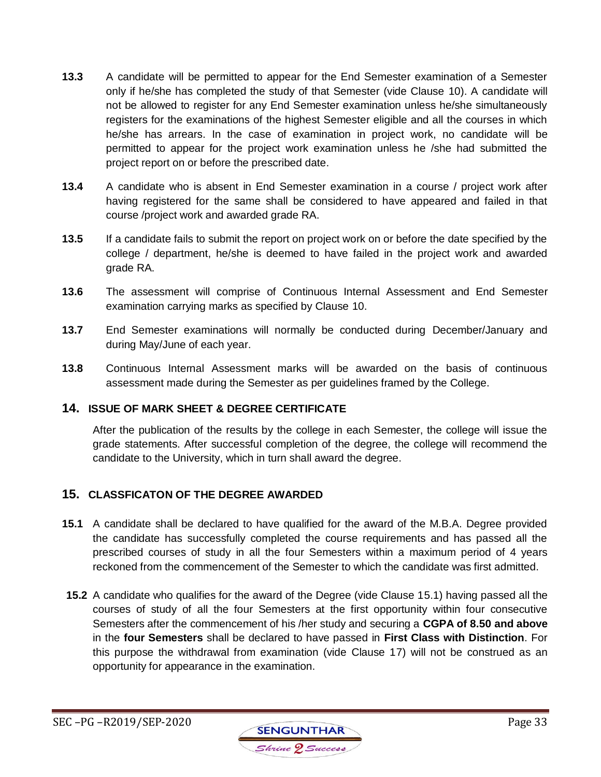- **13.3** A candidate will be permitted to appear for the End Semester examination of a Semester only if he/she has completed the study of that Semester (vide Clause 10). A candidate will not be allowed to register for any End Semester examination unless he/she simultaneously registers for the examinations of the highest Semester eligible and all the courses in which he/she has arrears. In the case of examination in project work, no candidate will be permitted to appear for the project work examination unless he /she had submitted the project report on or before the prescribed date.
- **13.4** A candidate who is absent in End Semester examination in a course / project work after having registered for the same shall be considered to have appeared and failed in that course /project work and awarded grade RA.
- **13.5** If a candidate fails to submit the report on project work on or before the date specified by the college / department, he/she is deemed to have failed in the project work and awarded grade RA.
- **13.6** The assessment will comprise of Continuous Internal Assessment and End Semester examination carrying marks as specified by Clause 10.
- **13.7** End Semester examinations will normally be conducted during December/January and during May/June of each year.
- **13.8** Continuous Internal Assessment marks will be awarded on the basis of continuous assessment made during the Semester as per guidelines framed by the College.

## **14. ISSUE OF MARK SHEET & DEGREE CERTIFICATE**

After the publication of the results by the college in each Semester, the college will issue the grade statements. After successful completion of the degree, the college will recommend the candidate to the University, which in turn shall award the degree.

## **15. CLASSFICATON OF THE DEGREE AWARDED**

- **15.1** A candidate shall be declared to have qualified for the award of the M.B.A. Degree provided the candidate has successfully completed the course requirements and has passed all the prescribed courses of study in all the four Semesters within a maximum period of 4 years reckoned from the commencement of the Semester to which the candidate was first admitted.
- **15.2** A candidate who qualifies for the award of the Degree (vide Clause 15.1) having passed all the courses of study of all the four Semesters at the first opportunity within four consecutive Semesters after the commencement of his /her study and securing a **CGPA of 8.50 and above** in the **four Semesters** shall be declared to have passed in **First Class with Distinction**. For this purpose the withdrawal from examination (vide Clause 17) will not be construed as an opportunity for appearance in the examination.

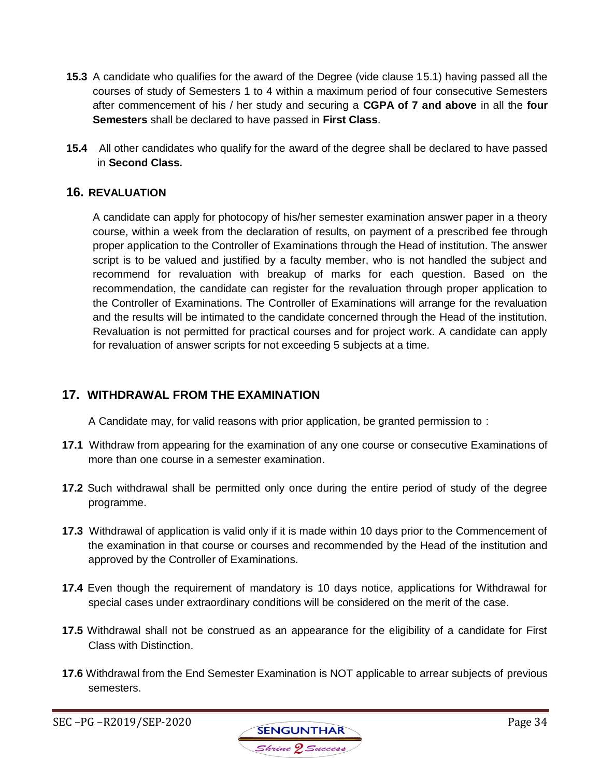- **15.3** A candidate who qualifies for the award of the Degree (vide clause 15.1) having passed all the courses of study of Semesters 1 to 4 within a maximum period of four consecutive Semesters after commencement of his / her study and securing a **CGPA of 7 and above** in all the **four Semesters** shall be declared to have passed in **First Class**.
- **15.4** All other candidates who qualify for the award of the degree shall be declared to have passed in **Second Class.**

## **16. REVALUATION**

A candidate can apply for photocopy of his/her semester examination answer paper in a theory course, within a week from the declaration of results, on payment of a prescribed fee through proper application to the Controller of Examinations through the Head of institution. The answer script is to be valued and justified by a faculty member, who is not handled the subject and recommend for revaluation with breakup of marks for each question. Based on the recommendation, the candidate can register for the revaluation through proper application to the Controller of Examinations. The Controller of Examinations will arrange for the revaluation and the results will be intimated to the candidate concerned through the Head of the institution. Revaluation is not permitted for practical courses and for project work. A candidate can apply for revaluation of answer scripts for not exceeding 5 subjects at a time*.*

# **17. WITHDRAWAL FROM THE EXAMINATION**

A Candidate may, for valid reasons with prior application, be granted permission to :

- **17.1** Withdraw from appearing for the examination of any one course or consecutive Examinations of more than one course in a semester examination.
- **17.2** Such withdrawal shall be permitted only once during the entire period of study of the degree programme.
- **17.3** Withdrawal of application is valid only if it is made within 10 days prior to the Commencement of the examination in that course or courses and recommended by the Head of the institution and approved by the Controller of Examinations.
- **17.4** Even though the requirement of mandatory is 10 days notice, applications for Withdrawal for special cases under extraordinary conditions will be considered on the merit of the case.
- **17.5** Withdrawal shall not be construed as an appearance for the eligibility of a candidate for First Class with Distinction.
- **17.6** Withdrawal from the End Semester Examination is NOT applicable to arrear subjects of previous semesters.

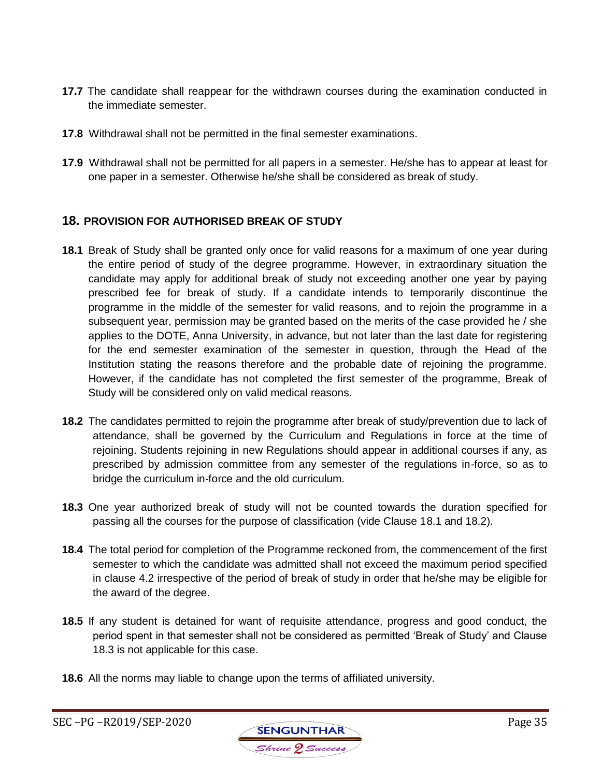- **17.7** The candidate shall reappear for the withdrawn courses during the examination conducted in the immediate semester.
- **17.8** Withdrawal shall not be permitted in the final semester examinations.
- **17.9** Withdrawal shall not be permitted for all papers in a semester. He/she has to appear at least for one paper in a semester. Otherwise he/she shall be considered as break of study.

# **18. PROVISION FOR AUTHORISED BREAK OF STUDY**

- **18.1** Break of Study shall be granted only once for valid reasons for a maximum of one year during the entire period of study of the degree programme. However, in extraordinary situation the candidate may apply for additional break of study not exceeding another one year by paying prescribed fee for break of study. If a candidate intends to temporarily discontinue the programme in the middle of the semester for valid reasons, and to rejoin the programme in a subsequent year, permission may be granted based on the merits of the case provided he / she applies to the DOTE, Anna University, in advance, but not later than the last date for registering for the end semester examination of the semester in question, through the Head of the Institution stating the reasons therefore and the probable date of rejoining the programme. However, if the candidate has not completed the first semester of the programme, Break of Study will be considered only on valid medical reasons.
- **18.2** The candidates permitted to rejoin the programme after break of study/prevention due to lack of attendance, shall be governed by the Curriculum and Regulations in force at the time of rejoining. Students rejoining in new Regulations should appear in additional courses if any, as prescribed by admission committee from any semester of the regulations in-force, so as to bridge the curriculum in-force and the old curriculum.
- **18.3** One year authorized break of study will not be counted towards the duration specified for passing all the courses for the purpose of classification (vide Clause 18.1 and 18.2).
- **18.4** The total period for completion of the Programme reckoned from, the commencement of the first semester to which the candidate was admitted shall not exceed the maximum period specified in clause 4.2 irrespective of the period of break of study in order that he/she may be eligible for the award of the degree.
- **18.5** If any student is detained for want of requisite attendance, progress and good conduct, the period spent in that semester shall not be considered as permitted 'Break of Study' and Clause 18.3 is not applicable for this case.
- **18.6** All the norms may liable to change upon the terms of affiliated university.